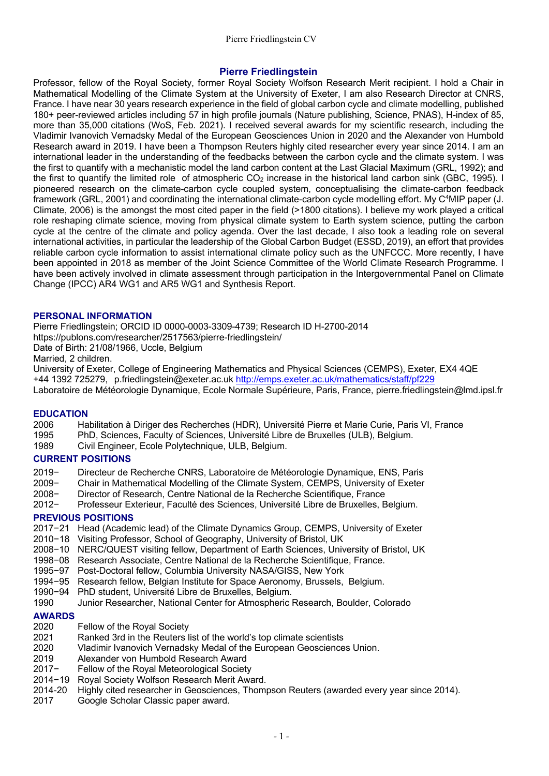#### Pierre Friedlingstein CV

# **Pierre Friedlingstein**

Professor, fellow of the Royal Society, former Royal Society Wolfson Research Merit recipient. I hold a Chair in Mathematical Modelling of the Climate System at the University of Exeter, I am also Research Director at CNRS, France. I have near 30 years research experience in the field of global carbon cycle and climate modelling, published 180+ peer-reviewed articles including 57 in high profile journals (Nature publishing, Science, PNAS), H-index of 85, more than 35,000 citations (WoS, Feb. 2021). I received several awards for my scientific research, including the Vladimir Ivanovich Vernadsky Medal of the European Geosciences Union in 2020 and the Alexander von Humbold Research award in 2019. I have been a Thompson Reuters highly cited researcher every year since 2014. I am an international leader in the understanding of the feedbacks between the carbon cycle and the climate system. I was the first to quantify with a mechanistic model the land carbon content at the Last Glacial Maximum (GRL, 1992); and the first to quantify the limited role of atmospheric  $CO<sub>2</sub>$  increase in the historical land carbon sink (GBC, 1995). pioneered research on the climate-carbon cycle coupled system, conceptualising the climate-carbon feedback framework (GRL, 2001) and coordinating the international climate-carbon cycle modelling effort. My C<sup>4</sup>MIP paper (J. Climate, 2006) is the amongst the most cited paper in the field (>1800 citations). I believe my work played a critical role reshaping climate science, moving from physical climate system to Earth system science, putting the carbon cycle at the centre of the climate and policy agenda. Over the last decade, I also took a leading role on several international activities, in particular the leadership of the Global Carbon Budget (ESSD, 2019), an effort that provides reliable carbon cycle information to assist international climate policy such as the UNFCCC. More recently, I have been appointed in 2018 as member of the Joint Science Committee of the World Climate Research Programme. I have been actively involved in climate assessment through participation in the Intergovernmental Panel on Climate Change (IPCC) AR4 WG1 and AR5 WG1 and Synthesis Report.

#### **PERSONAL INFORMATION**

Pierre Friedlingstein; ORCID ID 0000-0003-3309-4739; Research ID H-2700-2014

https://publons.com/researcher/2517563/pierre-friedlingstein/

Date of Birth: 21/08/1966, Uccle, Belgium

Married, 2 children.

University of Exeter, College of Engineering Mathematics and Physical Sciences (CEMPS), Exeter, EX4 4QE +44 1392 725279, p.friedlingstein@exeter.ac.uk http://emps.exeter.ac.uk/mathematics/staff/pf229 Laboratoire de Météorologie Dynamique, Ecole Normale Supérieure, Paris, France, pierre.friedlingstein@lmd.ipsl.fr

## **EDUCATION**

2006 Habilitation à Diriger des Recherches (HDR), Université Pierre et Marie Curie, Paris VI, France

1995 PhD, Sciences, Faculty of Sciences, Université Libre de Bruxelles (ULB), Belgium.

1989 Civil Engineer, Ecole Polytechnique, ULB, Belgium.

# **CURRENT POSITIONS**

- 2019− Directeur de Recherche CNRS, Laboratoire de Météorologie Dynamique, ENS, Paris
- 2009− Chair in Mathematical Modelling of the Climate System, CEMPS, University of Exeter
- 2008− Director of Research, Centre National de la Recherche Scientifique, France

2012− Professeur Exterieur, Faculté des Sciences, Université Libre de Bruxelles, Belgium.

#### **PREVIOUS POSITIONS**

- 2017−21 Head (Academic lead) of the Climate Dynamics Group, CEMPS, University of Exeter
- 2010−18 Visiting Professor, School of Geography, University of Bristol, UK
- 2008−10 NERC/QUEST visiting fellow, Department of Earth Sciences, University of Bristol, UK
- 1998−08 Research Associate, Centre National de la Recherche Scientifique, France.
- 1995−97 Post-Doctoral fellow, Columbia University NASA/GISS, New York
- 1994−95 Research fellow, Belgian Institute for Space Aeronomy, Brussels, Belgium.
- 1990−94 PhD student, Université Libre de Bruxelles, Belgium.
- 1990 Junior Researcher, National Center for Atmospheric Research, Boulder, Colorado

#### **AWARDS**

- 2020 Fellow of the Royal Society
- 2021 Ranked 3rd in the Reuters list of the world's top climate scientists
- 2020 Vladimir Ivanovich Vernadsky Medal of the European Geosciences Union.
- 2019 Alexander von Humbold Research Award
- 2017− Fellow of the Royal Meteorological Society
- 2014−19 Royal Society Wolfson Research Merit Award.
- 2014-20 Highly cited researcher in Geosciences, Thompson Reuters (awarded every year since 2014).
- 2017 Google Scholar Classic paper award.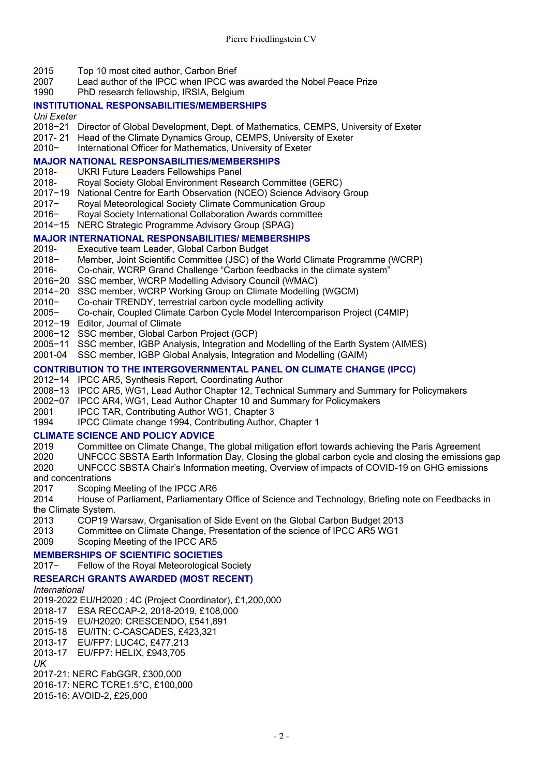- 2015 Top 10 most cited author, Carbon Brief<br>2007 Lead author of the IPCC when IPCC wa
- Lead author of the IPCC when IPCC was awarded the Nobel Peace Prize
- 1990 PhD research fellowship, IRSIA, Belgium

## **INSTITUTIONAL RESPONSABILITIES/MEMBERSHIPS**

- *Uni Exeter*
- 2018−21 Director of Global Development, Dept. of Mathematics, CEMPS, University of Exeter
- 2017- 21 Head of the Climate Dynamics Group, CEMPS, University of Exeter
- 2010− International Officer for Mathematics, University of Exeter

## **MAJOR NATIONAL RESPONSABILITIES/MEMBERSHIPS**

- 2018- UKRI Future Leaders Fellowships Panel
- 2018- Royal Society Global Environment Research Committee (GERC)
- 2017−19 National Centre for Earth Observation (NCEO) Science Advisory Group
- 2017− Royal Meteorological Society Climate Communication Group
- 2016− Royal Society International Collaboration Awards committee
- 2014−15 NERC Strategic Programme Advisory Group (SPAG)

## **MAJOR INTERNATIONAL RESPONSABILITIES/ MEMBERSHIPS**

- 2019- Executive team Leader, Global Carbon Budget<br>2018- Member Joint Scientific Committee (JSC) of the
- 2018− Member, Joint Scientific Committee (JSC) of the World Climate Programme (WCRP)
- Co-chair, WCRP Grand Challenge "Carbon feedbacks in the climate system"
- 2016−20 SSC member, WCRP Modelling Advisory Council (WMAC)
- 2014−20 SSC member, WCRP Working Group on Climate Modelling (WGCM)
- 2010− Co-chair TRENDY, terrestrial carbon cycle modelling activity
- 2005− Co-chair, Coupled Climate Carbon Cycle Model Intercomparison Project (C4MIP)
- 2012−19 Editor, Journal of Climate
- 2006−12 SSC member, Global Carbon Project (GCP)
- 2005−11 SSC member, IGBP Analysis, Integration and Modelling of the Earth System (AIMES)
- 2001-04 SSC member, IGBP Global Analysis, Integration and Modelling (GAIM)

## **CONTRIBUTION TO THE INTERGOVERNMENTAL PANEL ON CLIMATE CHANGE (IPCC)**

- 2012−14 IPCC AR5, Synthesis Report, Coordinating Author
- 2008−13 IPCC AR5, WG1, Lead Author Chapter 12, Technical Summary and Summary for Policymakers
- 2002−07 IPCC AR4, WG1, Lead Author Chapter 10 and Summary for Policymakers
- 2001 IPCC TAR, Contributing Author WG1, Chapter 3
- 1994 IPCC Climate change 1994, Contributing Author, Chapter 1

## **CLIMATE SCIENCE AND POLICY ADVICE**

- 2019 Committee on Climate Change, The global mitigation effort towards achieving the Paris Agreement
- 2020 UNFCCC SBSTA Earth Information Day, Closing the global carbon cycle and closing the emissions gap
- UNFCCC SBSTA Chair's Information meeting, Overview of impacts of COVID-19 on GHG emissions
- and concentrations
- 2017 Scoping Meeting of the IPCC AR6

2014 House of Parliament, Parliamentary Office of Science and Technology, Briefing note on Feedbacks in the Climate System.

- 2013 COP19 Warsaw, Organisation of Side Event on the Global Carbon Budget 2013
- 2013 Committee on Climate Change, Presentation of the science of IPCC AR5 WG1
- 2009 Scoping Meeting of the IPCC AR5

## **MEMBERSHIPS OF SCIENTIFIC SOCIETIES**

## 2017− Fellow of the Royal Meteorological Society

## **RESEARCH GRANTS AWARDED (MOST RECENT)**

#### *International*

2019-2022 EU/H2020 : 4C (Project Coordinator), £1,200,000

- 2018-17 ESA RECCAP-2, 2018-2019, £108,000
- 2015-19 EU/H2020: CRESCENDO, £541,891
- 2015-18 EU/ITN: C-CASCADES, £423,321
- 2013-17 EU/FP7: LUC4C, £477,213
- 2013-17 EU/FP7: HELIX, £943,705

*UK*

2017-21: NERC FabGGR, £300,000

2016-17: NERC TCRE1.5°C, £100,000

2015-16: AVOID-2, £25,000